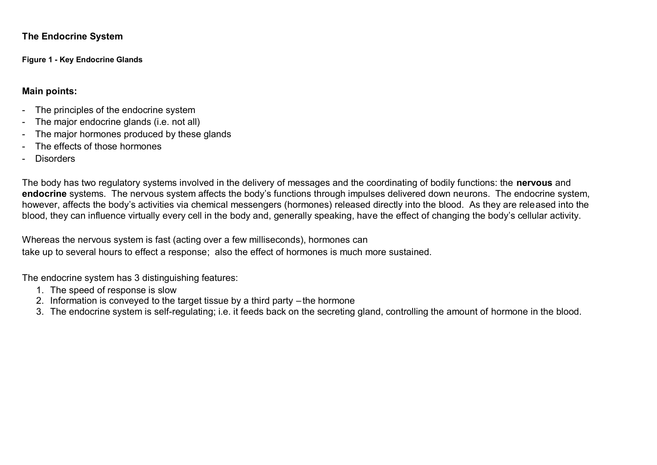## **The Endocrine System**

**Figure 1 - Key Endocrine Glands**

## **Main points:**

- The principles of the endocrine system
- The major endocrine glands (i.e. not all)
- The major hormones produced by these glands
- The effects of those hormones
- Disorders

The body has two regulatory systems involved in the delivery of messages and the coordinating of bodily functions: the **nervous** and **endocrine** systems. The nervous system affects the body's functions through impulses delivered down neurons. The endocrine system, however, affects the body's activities via chemical messengers (hormones) released directly into the blood. As they are released into the blood, they can influence virtually every cell in the body and, generally speaking, have the effect of changing the body's cellular activity.

Whereas the nervous system is fast (acting over a few milliseconds), hormones can take up to several hours to effect a response; also the effect of hormones is much more sustained.

The endocrine system has 3 distinguishing features:

- 1. The speed of response is slow
- 2. Information is conveyed to the target tissue by a third party –the hormone
- 3. The endocrine system is self-regulating; i.e. it feeds back on the secreting gland, controlling the amount of hormone in the blood.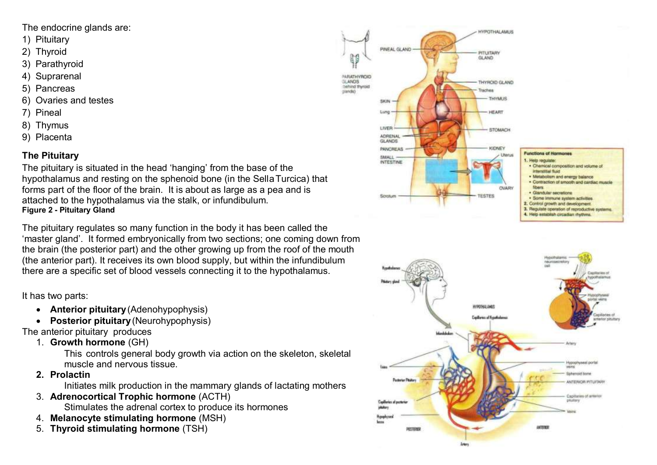The endocrine glands are:

- 1) Pituitary
- 2) Thyroid
- 3) Parathyroid
- 4) Suprarenal
- 5) Pancreas
- 6) Ovaries and testes
- 7) Pineal
- 8) Thymus
- 9) Placenta

# **The Pituitary**

The pituitary is situated in the head 'hanging' from the base of the hypothalamus and resting on the sphenoid bone (in the SellaTurcica) that forms part of the floor of the brain. It is about as large as a pea and is attached to the hypothalamus via the stalk, or infundibulum. **Figure 2 - Pituitary Gland**

The pituitary regulates so many function in the body it has been called the 'master gland'. It formed embryonically from two sections; one coming down from the brain (the posterior part) and the other growing up from the roof of the mouth (the anterior part). It receives its own blood supply, but within the infundibulum there are a specific set of blood vessels connecting it to the hypothalamus.

It has two parts:

- **Anterior pituitary**(Adenohypophysis)
- **Posterior pituitary**(Neurohypophysis)

The anterior pituitary produces

1. **Growth hormone** (GH)

This controls general body growth via action on the skeleton, skeletal muscle and nervous tissue.

**2. Prolactin**

Initiates milk production in the mammary glands of lactating mothers

- 3. **Adrenocortical Trophic hormone** (ACTH) Stimulates the adrenal cortex to produce its hormones
- 4. **Melanocyte stimulating hormone** (MSH)
- 5. **Thyroid stimulating hormone** (TSH)

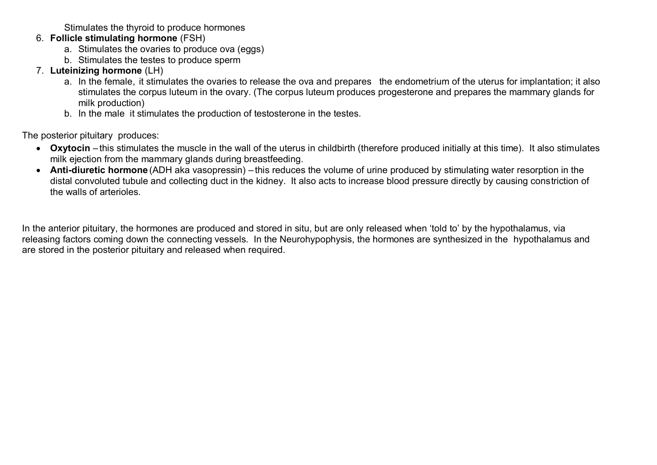Stimulates the thyroid to produce hormones

- 6. **Follicle stimulating hormone** (FSH)
	- a. Stimulates the ovaries to produce ova (eggs)
	- b. Stimulates the testes to produce sperm
- 7. **Luteinizing hormone** (LH)
	- a. In the female, it stimulates the ovaries to release the ova and prepares the endometrium of the uterus for implantation; it also stimulates the corpus luteum in the ovary. (The corpus luteum produces progesterone and prepares the mammary glands for milk production)
	- b. In the male it stimulates the production of testosterone in the testes.

The posterior pituitary produces:

- **Oxytocin** this stimulates the muscle in the wall of the uterus in childbirth (therefore produced initially at this time). It also stimulates milk ejection from the mammary glands during breastfeeding.
- **Anti-diuretic hormone** (ADH aka vasopressin) this reduces the volume of urine produced by stimulating water resorption in the distal convoluted tubule and collecting duct in the kidney. It also acts to increase blood pressure directly by causing constriction of the walls of arterioles.

In the anterior pituitary, the hormones are produced and stored in situ, but are only released when 'told to' by the hypothalamus, via releasing factors coming down the connecting vessels. In the Neurohypophysis, the hormones are synthesized in the hypothalamus and are stored in the posterior pituitary and released when required.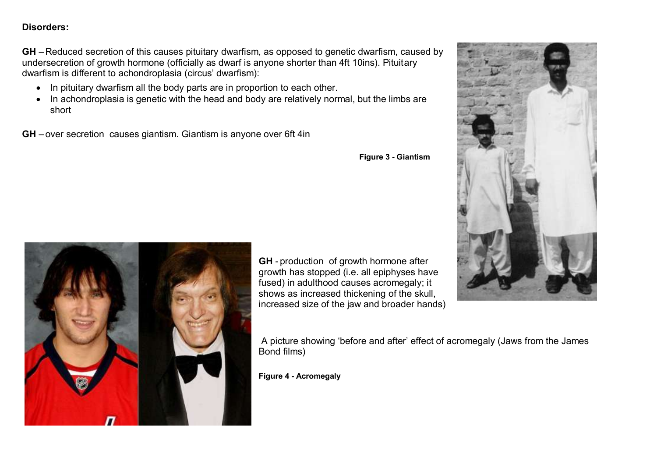### **Disorders:**

**GH** –Reduced secretion of this causes pituitary dwarfism, as opposed to genetic dwarfism, caused by undersecretion of growth hormone (officially as dwarf is anyone shorter than 4ft 10ins). Pituitary dwarfism is different to achondroplasia (circus' dwarfism):

- In pituitary dwarfism all the body parts are in proportion to each other.
- In achondroplasia is genetic with the head and body are relatively normal, but the limbs are short

**GH** – over secretion causes giantism. Giantism is anyone over 6ft 4in

**Figure 3 - Giantism**





**GH** - production of growth hormone after growth has stopped (i.e. all epiphyses have fused) in adulthood causes acromegaly; it shows as increased thickening of the skull, increased size of the jaw and broader hands)

A picture showing 'before and after' effect of acromegaly (Jaws from the James Bond films)

**Figure 4 - Acromegaly**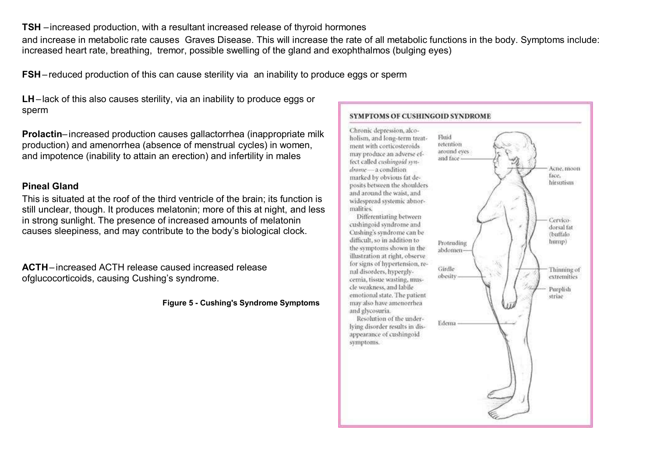**TSH** –increased production, with a resultant increased release of thyroid hormones

and increase in metabolic rate causes Graves Disease. This will increase the rate of all metabolic functions in the body. Symptoms include: increased heart rate, breathing, tremor, possible swelling of the gland and exophthalmos (bulging eyes)

**FSH**– reduced production of this can cause sterility via an inability to produce eggs or sperm

**LH**–lack of this also causes sterility, via an inability to produce eggs or sperm

**Prolactin**– increased production causes gallactorrhea (inappropriate milk production) and amenorrhea (absence of menstrual cycles) in women, and impotence (inability to attain an erection) and infertility in males

## **Pineal Gland**

This is situated at the roof of the third ventricle of the brain; its function is still unclear, though. It produces melatonin; more of this at night, and less in strong sunlight. The presence of increased amounts of melatonin causes sleepiness, and may contribute to the body's biological clock.

**ACTH**– increased ACTH release caused increased release ofglucocorticoids, causing Cushing's syndrome.

**Figure 5 - Cushing's Syndrome Symptoms**

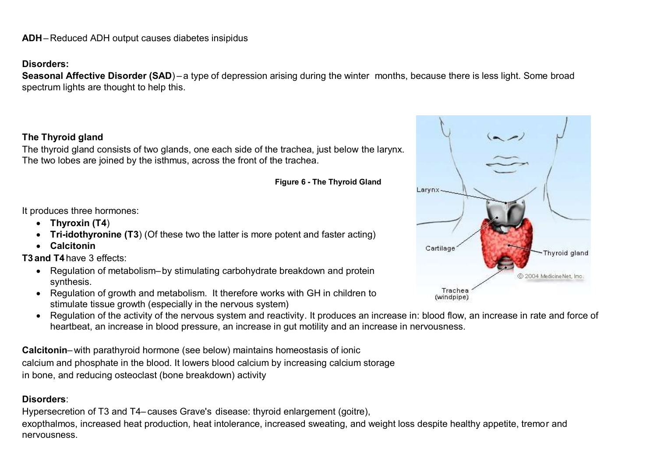**Disorders:**

**Seasonal Affective Disorder (SAD)** – a type of depression arising during the winter months, because there is less light. Some broad spectrum lights are thought to help this.

# **The Thyroid gland**

The thyroid gland consists of two glands, one each side of the trachea, just below the larynx. The two lobes are joined by the isthmus, across the front of the trachea.

**Figure 6 - The Thyroid Gland**

It produces three hormones:

- **Thyroxin (T4**)
- **Tri-idothyronine (T3**) (Of these two the latter is more potent and faster acting)
- **Calcitonin**

**T3 and T4** have 3 effects:

- Regulation of metabolism–by stimulating carbohydrate breakdown and protein synthesis.
- Regulation of growth and metabolism. It therefore works with GH in children to stimulate tissue growth (especially in the nervous system)
- Regulation of the activity of the nervous system and reactivity. It produces an increase in: blood flow, an increase in rate and force of heartbeat, an increase in blood pressure, an increase in gut motility and an increase in nervousness.

**Calcitonin**–with parathyroid hormone (see below) maintains homeostasis of ionic calcium and phosphate in the blood. It lowers blood calcium by increasing calcium storage in bone, and reducing osteoclast (bone breakdown) activity

## **Disorders**:

Hypersecretion of T3 and T4– causes Grave's disease: thyroid enlargement (goitre), exopthalmos, increased heat production, heat intolerance, increased sweating, and weight loss despite healthy appetite, tremor and nervousness.

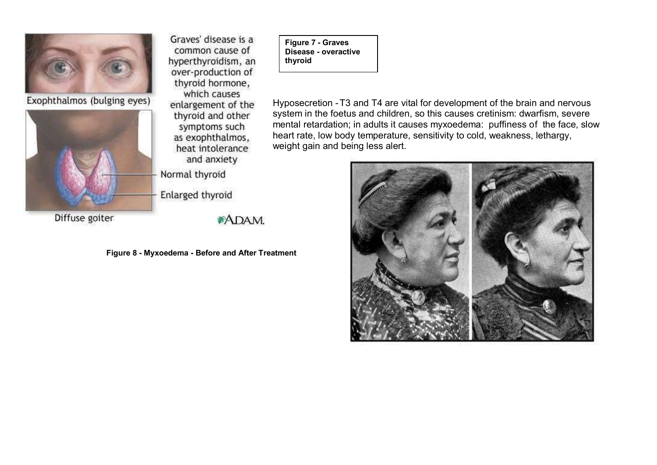

Exophthalmos (bulging eyes)



Graves' disease is a common cause of hyperthyroidism, an over-production of thyroid hormone, which causes enlargement of the thyroid and other symptoms such as exophthalmos, heat intolerance

and anxiety

Normal thyroid

Enlarged thyroid

Diffuse goiter

**\*ADAM.** 

**Figure 8 - Myxoedema - Before and After Treatment**

**Figure 7 - Graves Disease - overactive thyroid**

Hyposecretion -T3 and T4 are vital for development of the brain and nervous system in the foetus and children, so this causes cretinism: dwarfism, severe mental retardation; in adults it causes myxoedema: puffiness of the face, slow heart rate, low body temperature, sensitivity to cold, weakness, lethargy, weight gain and being less alert.

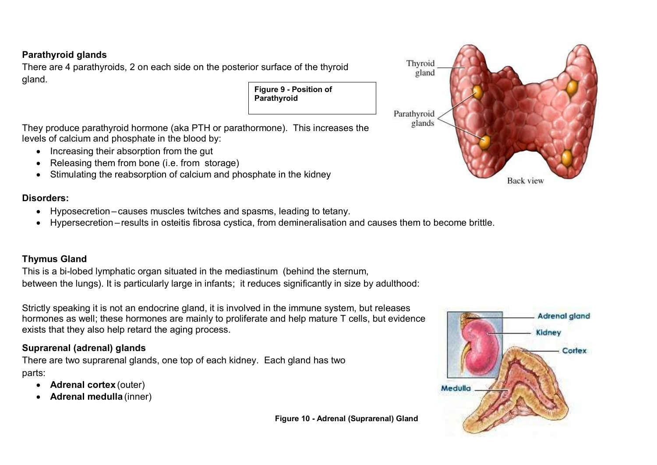## **Parathyroid glands**

There are 4 parathyroids, 2 on each side on the posterior surface of the thyroid gland. **Figure 9 - Position of** 

They produce parathyroid hormone (aka PTH or parathormone). This increases the levels of calcium and phosphate in the blood by:

- Increasing their absorption from the gut
- Releasing them from bone (i.e. from storage)
- Stimulating the reabsorption of calcium and phosphate in the kidney

## **Disorders:**

- Hyposecretion causes muscles twitches and spasms, leading to tetany.
- Hypersecretion results in osteitis fibrosa cystica, from demineralisation and causes them to become brittle.

**Parathyroid**

## **Thymus Gland**

This is a bi-lobed lymphatic organ situated in the mediastinum (behind the sternum, between the lungs). It is particularly large in infants; it reduces significantly in size by adulthood:

Strictly speaking it is not an endocrine gland, it is involved in the immune system, but releases hormones as well; these hormones are mainly to proliferate and help mature T cells, but evidence exists that they also help retard the aging process.

## **Suprarenal (adrenal) glands**

There are two suprarenal glands, one top of each kidney. Each gland has two parts:

- **Adrenal cortex** (outer)
- **Adrenal medulla** (inner)





**Figure 10 - Adrenal (Suprarenal) Gland**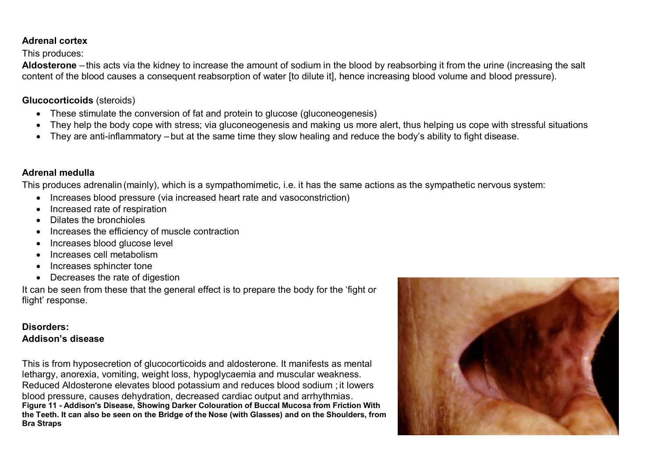## **Adrenal cortex**

This produces:

**Aldosterone** – this acts via the kidney to increase the amount of sodium in the blood by reabsorbing it from the urine (increasing the salt content of the blood causes a consequent reabsorption of water [to dilute it], hence increasing blood volume and blood pressure).

## **Glucocorticoids** (steroids)

- These stimulate the conversion of fat and protein to glucose (gluconeogenesis)
- They help the body cope with stress; via gluconeogenesis and making us more alert, thus helping us cope with stressful situations
- They are anti-inflammatory but at the same time they slow healing and reduce the body's ability to fight disease.

## **Adrenal medulla**

This produces adrenalin (mainly), which is a sympathomimetic, i.e. it has the same actions as the sympathetic nervous system:

- Increases blood pressure (via increased heart rate and vasoconstriction)
- Increased rate of respiration
- Dilates the bronchioles
- Increases the efficiency of muscle contraction
- Increases blood glucose level
- Increases cell metabolism
- Increases sphincter tone
- Decreases the rate of digestion

It can be seen from these that the general effect is to prepare the body for the 'fight or flight' response.

# **Disorders:**

## **Addison's disease**

This is from hyposecretion of glucocorticoids and aldosterone. It manifests as mental lethargy, anorexia, vomiting, weight loss, hypoglycaemia and muscular weakness. Reduced Aldosterone elevates blood potassium and reduces blood sodium ; it lowers blood pressure, causes dehydration, decreased cardiac output and arrhythmias. **Figure 11 - Addison's Disease, Showing Darker Colouration of Buccal Mucosa from Friction With the Teeth. It can also be seen on the Bridge of the Nose (with Glasses) and on the Shoulders, from Bra Straps**

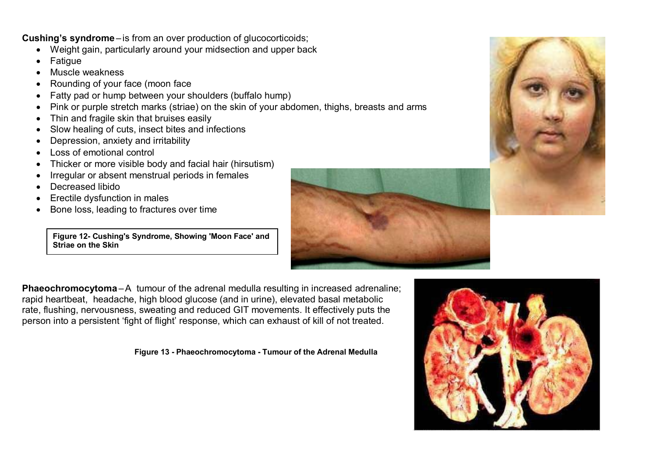**Cushing's syndrome** – is from an over production of glucocorticoids;

- Weight gain, particularly around your midsection and upper back
- Fatigue
- Muscle weakness
- Rounding of your face (moon face
- Fatty pad or hump between your shoulders (buffalo hump)
- Pink or purple stretch marks (striae) on the skin of your abdomen, thighs, breasts and arms
- Thin and fragile skin that bruises easily
- Slow healing of cuts, insect bites and infections
- Depression, anxiety and irritability
- Loss of emotional control
- Thicker or more visible body and facial hair (hirsutism)
- Irregular or absent menstrual periods in females
- Decreased libido
- Erectile dysfunction in males
- Bone loss, leading to fractures over time

**Figure 12- Cushing's Syndrome, Showing 'Moon Face' and Striae on the Skin**

**Phaeochromocytoma** – A tumour of the adrenal medulla resulting in increased adrenaline; rapid heartbeat, headache, high blood glucose (and in urine), elevated basal metabolic rate, flushing, nervousness, sweating and reduced GIT movements. It effectively puts the person into a persistent 'fight of flight' response, which can exhaust of kill of not treated.

**Figure 13 - Phaeochromocytoma - Tumour of the Adrenal Medulla**





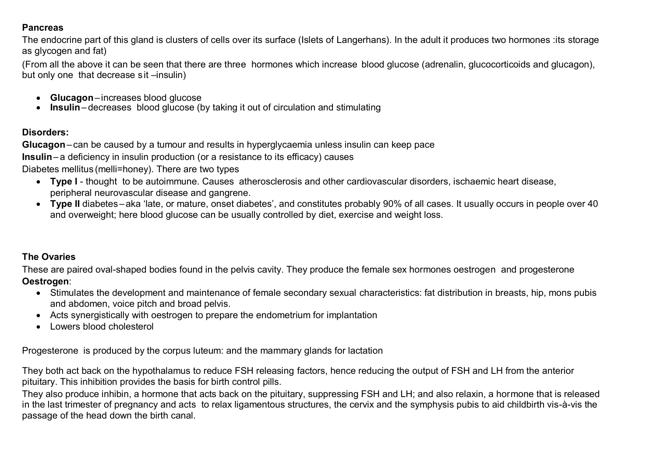### **Pancreas**

The endocrine part of this gland is clusters of cells over its surface (Islets of Langerhans). In the adult it produces two hormones :its storage as glycogen and fat)

(From all the above it can be seen that there are three hormones which increase blood glucose (adrenalin, glucocorticoids and glucagon), but only one that decrease sit –insulin)

- **Glucagon**–increases blood glucose
- **Insulin** decreases blood glucose (by taking it out of circulation and stimulating

## **Disorders:**

**Glucagon**– can be caused by a tumour and results in hyperglycaemia unless insulin can keep pace

**Insulin**– a deficiency in insulin production (or a resistance to its efficacy) causes

Diabetes mellitus (melli=honey). There are two types

- **Type I** thought to be autoimmune. Causes atherosclerosis and other cardiovascular disorders, ischaemic heart disease, peripheral neurovascular disease and gangrene.
- Type II diabetes-aka 'late, or mature, onset diabetes', and constitutes probably 90% of all cases. It usually occurs in people over 40 and overweight; here blood glucose can be usually controlled by diet, exercise and weight loss.

## **The Ovaries**

These are paired oval-shaped bodies found in the pelvis cavity. They produce the female sex hormones oestrogen and progesterone **Oestrogen**:

- Stimulates the development and maintenance of female secondary sexual characteristics: fat distribution in breasts, hip, mons pubis and abdomen, voice pitch and broad pelvis.
- Acts synergistically with oestrogen to prepare the endometrium for implantation
- Lowers blood cholesterol

Progesterone is produced by the corpus luteum: and the mammary glands for lactation

They both act back on the hypothalamus to reduce FSH releasing factors, hence reducing the output of FSH and LH from the anterior pituitary. This inhibition provides the basis for birth control pills.

They also produce inhibin, a hormone that acts back on the pituitary, suppressing FSH and LH; and also relaxin, a hormone that is released in the last trimester of pregnancy and acts to relax ligamentous structures, the cervix and the symphysis pubis to aid childbirth vis-à-vis the passage of the head down the birth canal.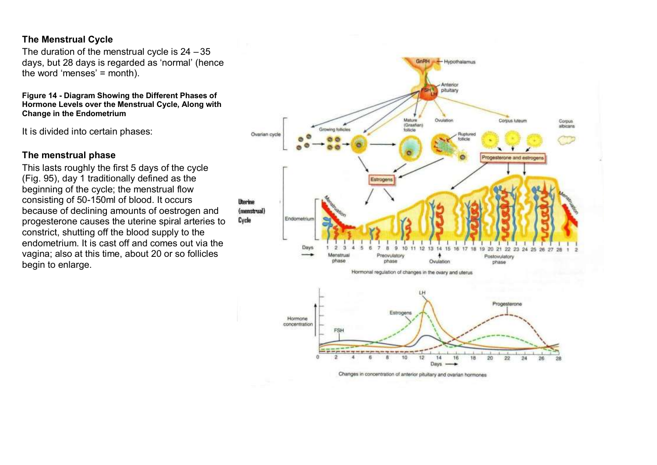### **The Menstrual Cycle**

The duration of the menstrual cycle is 24 – 35 days, but 28 days is regarded as 'normal' (hence the word 'menses' = month).

**Figure 14 - Diagram Showing the Different Phases of Hormone Levels over the Menstrual Cycle, Along with Change in the Endometrium**

It is divided into certain phases:

### **The menstrual phase**

This lasts roughly the first 5 days of the cycle (Fig. 95), day 1 traditionally defined as the beginning of the cycle; the menstrual flow consisting of 50-150ml of blood. It occurs because of declining amounts of oestrogen and progesterone causes the uterine spiral arteries to constrict, shutting off the blood supply to the endometrium. It is cast off and comes out via the vagina; also at this time, about 20 or so follicles begin to enlarge.

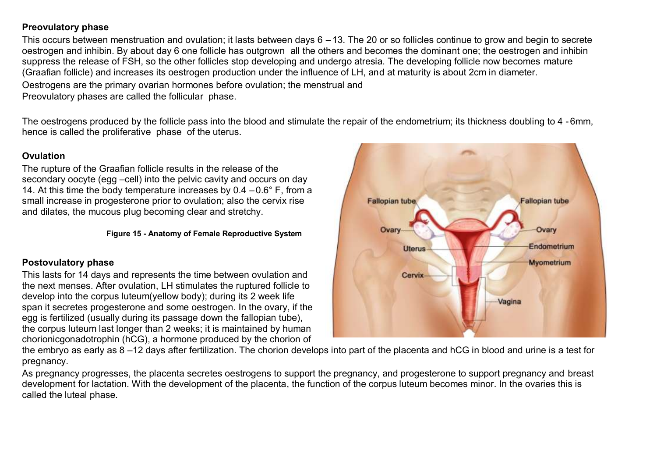## **Preovulatory phase**

This occurs between menstruation and ovulation; it lasts between days 6 – 13. The 20 or so follicles continue to grow and begin to secrete oestrogen and inhibin. By about day 6 one follicle has outgrown all the others and becomes the dominant one; the oestrogen and inhibin suppress the release of FSH, so the other follicles stop developing and undergo atresia. The developing follicle now becomes mature (Graafian follicle) and increases its oestrogen production under the influence of LH, and at maturity is about 2cm in diameter.

Oestrogens are the primary ovarian hormones before ovulation; the menstrual and Preovulatory phases are called the follicular phase.

The oestrogens produced by the follicle pass into the blood and stimulate the repair of the endometrium; its thickness doubling to 4 - 6mm, hence is called the proliferative phase of the uterus.

## **Ovulation**

The rupture of the Graafian follicle results in the release of the secondary oocyte (egg –cell) into the pelvic cavity and occurs on day 14. At this time the body temperature increases by  $0.4 - 0.6^\circ$  F, from a small increase in progesterone prior to ovulation; also the cervix rise and dilates, the mucous plug becoming clear and stretchy.

#### **Figure 15 - Anatomy of Female Reproductive System**

## **Postovulatory phase**

This lasts for 14 days and represents the time between ovulation and the next menses. After ovulation, LH stimulates the ruptured follicle to develop into the corpus luteum(yellow body); during its 2 week life span it secretes progesterone and some oestrogen. In the ovary, if the egg is fertilized (usually during its passage down the fallopian tube), the corpus luteum last longer than 2 weeks; it is maintained by human chorionicgonadotrophin (hCG), a hormone produced by the chorion of



the embryo as early as 8 –12 days after fertilization. The chorion develops into part of the placenta and hCG in blood and urine is a test for pregnancy.

As pregnancy progresses, the placenta secretes oestrogens to support the pregnancy, and progesterone to support pregnancy and breast development for lactation. With the development of the placenta, the function of the corpus luteum becomes minor. In the ovaries this is called the luteal phase.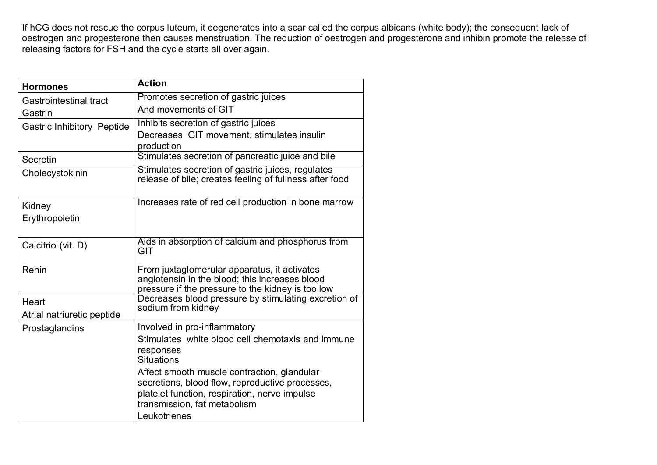If hCG does not rescue the corpus luteum, it degenerates into a scar called the corpus albicans (white body); the consequent lack of oestrogen and progesterone then causes menstruation. The reduction of oestrogen and progesterone and inhibin promote the release of releasing factors for FSH and the cycle starts all over again.

| <b>Hormones</b>                   | <b>Action</b>                                                                                                |
|-----------------------------------|--------------------------------------------------------------------------------------------------------------|
| <b>Gastrointestinal tract</b>     | Promotes secretion of gastric juices                                                                         |
| Gastrin                           | And movements of GIT                                                                                         |
| <b>Gastric Inhibitory Peptide</b> | Inhibits secretion of gastric juices                                                                         |
|                                   | Decreases GIT movement, stimulates insulin<br>production                                                     |
| Secretin                          | Stimulates secretion of pancreatic juice and bile                                                            |
| Cholecystokinin                   | Stimulates secretion of gastric juices, regulates<br>release of bile; creates feeling of fullness after food |
| Kidney                            | Increases rate of red cell production in bone marrow                                                         |
| Erythropoietin                    |                                                                                                              |
|                                   |                                                                                                              |
| Calcitriol (vit. D)               | Aids in absorption of calcium and phosphorus from<br>GIT                                                     |
| Renin                             | From juxtaglomerular apparatus, it activates                                                                 |
|                                   | angiotensin in the blood; this increases blood<br>pressure if the pressure to the kidney is too low          |
| Heart                             | Decreases blood pressure by stimulating excretion of                                                         |
| Atrial natriuretic peptide        | sodium from kidney                                                                                           |
| Prostaglandins                    | Involved in pro-inflammatory                                                                                 |
|                                   | Stimulates white blood cell chemotaxis and immune                                                            |
|                                   | responses<br>Situations                                                                                      |
|                                   | Affect smooth muscle contraction, glandular                                                                  |
|                                   | secretions, blood flow, reproductive processes,<br>platelet function, respiration, nerve impulse             |
|                                   | transmission, fat metabolism                                                                                 |
|                                   | Leukotrienes                                                                                                 |